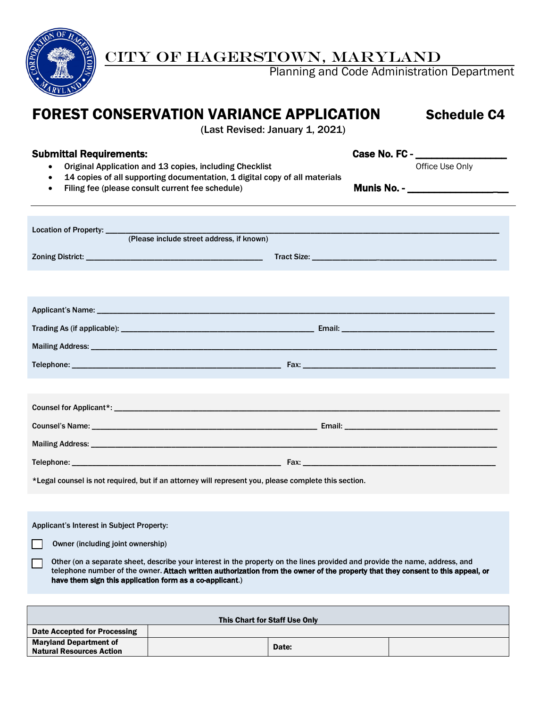

# CITY OF HAGERSTOWN, MARYLAND

Planning and Code Administration Department

# FOREST CONSERVATION VARIANCE APPLICATION Schedule C4

(Last Revised: January 1, 2021)

## Submittal Requirements: example of the case No. FC - \_\_\_\_\_\_\_\_\_\_\_\_\_\_\_\_\_\_\_\_\_\_\_\_\_\_\_

- Original Application and 13 copies, including Checklist Check and Defice Use Only
- 14 copies of all supporting documentation, 1 digital copy of all materials
- Filing fee (please consult current fee schedule) Munis No. \_\_\_\_\_\_\_\_\_\_\_\_\_\_\_\_\_

have them sign this application form as a co-applicant.)

| Location of Property: _____<br>(Please include street address, if known)                                                                                                                                                                                       |  |  |  |  |  |  |
|----------------------------------------------------------------------------------------------------------------------------------------------------------------------------------------------------------------------------------------------------------------|--|--|--|--|--|--|
|                                                                                                                                                                                                                                                                |  |  |  |  |  |  |
|                                                                                                                                                                                                                                                                |  |  |  |  |  |  |
|                                                                                                                                                                                                                                                                |  |  |  |  |  |  |
|                                                                                                                                                                                                                                                                |  |  |  |  |  |  |
|                                                                                                                                                                                                                                                                |  |  |  |  |  |  |
|                                                                                                                                                                                                                                                                |  |  |  |  |  |  |
|                                                                                                                                                                                                                                                                |  |  |  |  |  |  |
|                                                                                                                                                                                                                                                                |  |  |  |  |  |  |
|                                                                                                                                                                                                                                                                |  |  |  |  |  |  |
|                                                                                                                                                                                                                                                                |  |  |  |  |  |  |
|                                                                                                                                                                                                                                                                |  |  |  |  |  |  |
| *Legal counsel is not required, but if an attorney will represent you, please complete this section.                                                                                                                                                           |  |  |  |  |  |  |
|                                                                                                                                                                                                                                                                |  |  |  |  |  |  |
| Applicant's Interest in Subject Property:                                                                                                                                                                                                                      |  |  |  |  |  |  |
| Owner (including joint ownership)                                                                                                                                                                                                                              |  |  |  |  |  |  |
| Other (on a separate sheet, describe your interest in the property on the lines provided and provide the name, address, and<br>telephone number of the owner. Attach written authorization from the owner of the property that they consent to this appeal, or |  |  |  |  |  |  |

| This Chart for Staff Use Only                                    |  |       |  |  |  |  |  |
|------------------------------------------------------------------|--|-------|--|--|--|--|--|
| Date Accepted for Processing                                     |  |       |  |  |  |  |  |
| <b>Maryland Department of</b><br><b>Natural Resources Action</b> |  | Date: |  |  |  |  |  |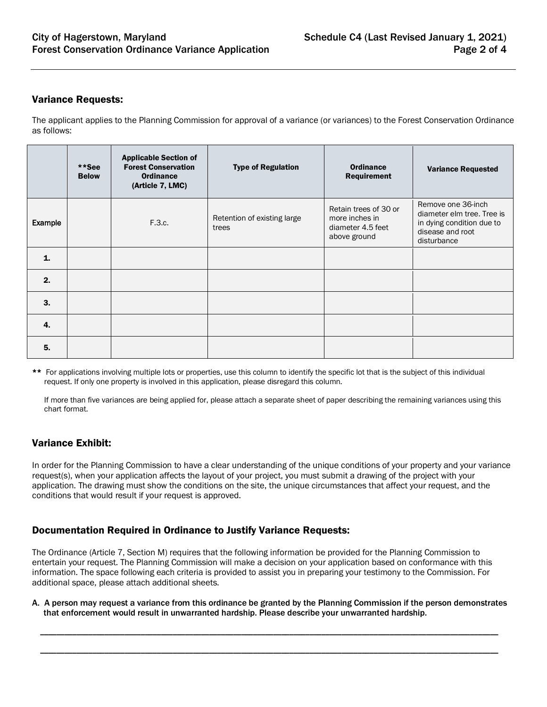#### Variance Requests:

The applicant applies to the Planning Commission for approval of a variance (or variances) to the Forest Conservation Ordinance as follows:

|              | **See<br><b>Below</b> | <b>Applicable Section of</b><br><b>Forest Conservation</b><br><b>Ordinance</b><br>(Article 7, LMC) | <b>Type of Regulation</b>            | <b>Ordinance</b><br><b>Requirement</b>                                       | <b>Variance Requested</b>                                                                                        |
|--------------|-----------------------|----------------------------------------------------------------------------------------------------|--------------------------------------|------------------------------------------------------------------------------|------------------------------------------------------------------------------------------------------------------|
| Example      |                       | F.3.c.                                                                                             | Retention of existing large<br>trees | Retain trees of 30 or<br>more inches in<br>diameter 4.5 feet<br>above ground | Remove one 36-inch<br>diameter elm tree. Tree is<br>in dying condition due to<br>disease and root<br>disturbance |
| $\mathbf{1}$ |                       |                                                                                                    |                                      |                                                                              |                                                                                                                  |
| 2.           |                       |                                                                                                    |                                      |                                                                              |                                                                                                                  |
| 3.           |                       |                                                                                                    |                                      |                                                                              |                                                                                                                  |
| 4.           |                       |                                                                                                    |                                      |                                                                              |                                                                                                                  |
| 5.           |                       |                                                                                                    |                                      |                                                                              |                                                                                                                  |

\*\* For applications involving multiple lots or properties, use this column to identify the specific lot that is the subject of this individual request. If only one property is involved in this application, please disregard this column.

If more than five variances are being applied for, please attach a separate sheet of paper describing the remaining variances using this chart format.

### Variance Exhibit:

In order for the Planning Commission to have a clear understanding of the unique conditions of your property and your variance request(s), when your application affects the layout of your project, you must submit a drawing of the project with your application. The drawing must show the conditions on the site, the unique circumstances that affect your request, and the conditions that would result if your request is approved.

### Documentation Required in Ordinance to Justify Variance Requests:

The Ordinance (Article 7, Section M) requires that the following information be provided for the Planning Commission to entertain your request. The Planning Commission will make a decision on your application based on conformance with this information. The space following each criteria is provided to assist you in preparing your testimony to the Commission. For additional space, please attach additional sheets.

A. A person may request a variance from this ordinance be granted by the Planning Commission if the person demonstrates that enforcement would result in unwarranted hardship. Please describe your unwarranted hardship.

\_\_\_\_\_\_\_\_\_\_\_\_\_\_\_\_\_\_\_\_\_\_\_\_\_\_\_\_\_\_\_\_\_\_\_\_\_\_\_\_\_\_\_\_\_\_\_\_\_\_\_\_\_\_\_\_\_\_\_\_\_\_\_\_\_\_\_\_\_\_\_\_\_\_\_\_\_\_\_\_\_\_\_\_\_\_\_\_\_\_\_\_\_\_\_\_\_\_\_\_\_\_\_\_\_\_\_\_\_\_\_\_\_\_

\_\_\_\_\_\_\_\_\_\_\_\_\_\_\_\_\_\_\_\_\_\_\_\_\_\_\_\_\_\_\_\_\_\_\_\_\_\_\_\_\_\_\_\_\_\_\_\_\_\_\_\_\_\_\_\_\_\_\_\_\_\_\_\_\_\_\_\_\_\_\_\_\_\_\_\_\_\_\_\_\_\_\_\_\_\_\_\_\_\_\_\_\_\_\_\_\_\_\_\_\_\_\_\_\_\_\_\_\_\_\_\_\_\_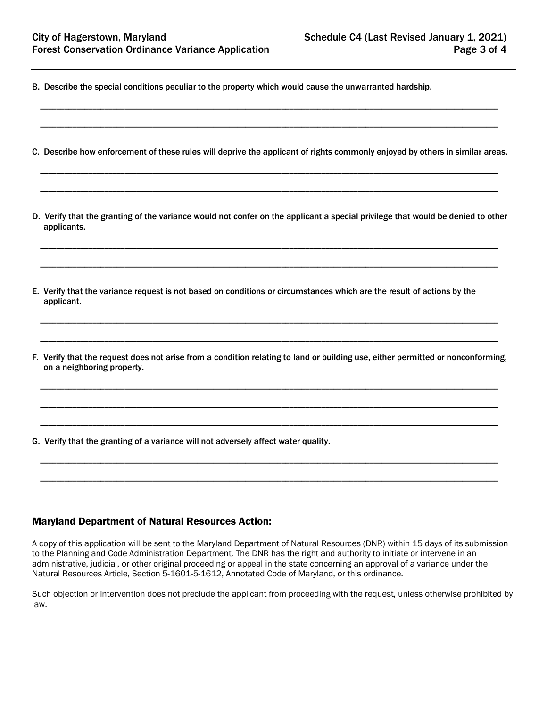- B. Describe the special conditions peculiar to the property which would cause the unwarranted hardship.
- C. Describe how enforcement of these rules will deprive the applicant of rights commonly enjoyed by others in similar areas.

\_\_\_\_\_\_\_\_\_\_\_\_\_\_\_\_\_\_\_\_\_\_\_\_\_\_\_\_\_\_\_\_\_\_\_\_\_\_\_\_\_\_\_\_\_\_\_\_\_\_\_\_\_\_\_\_\_\_\_\_\_\_\_\_\_\_\_\_\_\_\_\_\_\_\_\_\_\_\_\_\_\_\_\_\_\_\_\_\_\_\_\_\_\_\_\_\_\_\_\_\_\_\_\_\_\_\_\_\_\_\_\_\_\_

\_\_\_\_\_\_\_\_\_\_\_\_\_\_\_\_\_\_\_\_\_\_\_\_\_\_\_\_\_\_\_\_\_\_\_\_\_\_\_\_\_\_\_\_\_\_\_\_\_\_\_\_\_\_\_\_\_\_\_\_\_\_\_\_\_\_\_\_\_\_\_\_\_\_\_\_\_\_\_\_\_\_\_\_\_\_\_\_\_\_\_\_\_\_\_\_\_\_\_\_\_\_\_\_\_\_\_\_\_\_\_\_\_\_

\_\_\_\_\_\_\_\_\_\_\_\_\_\_\_\_\_\_\_\_\_\_\_\_\_\_\_\_\_\_\_\_\_\_\_\_\_\_\_\_\_\_\_\_\_\_\_\_\_\_\_\_\_\_\_\_\_\_\_\_\_\_\_\_\_\_\_\_\_\_\_\_\_\_\_\_\_\_\_\_\_\_\_\_\_\_\_\_\_\_\_\_\_\_\_\_\_\_\_\_\_\_\_\_\_\_\_\_\_\_\_\_\_\_

\_\_\_\_\_\_\_\_\_\_\_\_\_\_\_\_\_\_\_\_\_\_\_\_\_\_\_\_\_\_\_\_\_\_\_\_\_\_\_\_\_\_\_\_\_\_\_\_\_\_\_\_\_\_\_\_\_\_\_\_\_\_\_\_\_\_\_\_\_\_\_\_\_\_\_\_\_\_\_\_\_\_\_\_\_\_\_\_\_\_\_\_\_\_\_\_\_\_\_\_\_\_\_\_\_\_\_\_\_\_\_\_\_\_

D. Verify that the granting of the variance would not confer on the applicant a special privilege that would be denied to other applicants.

\_\_\_\_\_\_\_\_\_\_\_\_\_\_\_\_\_\_\_\_\_\_\_\_\_\_\_\_\_\_\_\_\_\_\_\_\_\_\_\_\_\_\_\_\_\_\_\_\_\_\_\_\_\_\_\_\_\_\_\_\_\_\_\_\_\_\_\_\_\_\_\_\_\_\_\_\_\_\_\_\_\_\_\_\_\_\_\_\_\_\_\_\_\_\_\_\_\_\_\_\_\_\_\_\_\_\_\_\_\_\_\_\_\_

\_\_\_\_\_\_\_\_\_\_\_\_\_\_\_\_\_\_\_\_\_\_\_\_\_\_\_\_\_\_\_\_\_\_\_\_\_\_\_\_\_\_\_\_\_\_\_\_\_\_\_\_\_\_\_\_\_\_\_\_\_\_\_\_\_\_\_\_\_\_\_\_\_\_\_\_\_\_\_\_\_\_\_\_\_\_\_\_\_\_\_\_\_\_\_\_\_\_\_\_\_\_\_\_\_\_\_\_\_\_\_\_\_\_

\_\_\_\_\_\_\_\_\_\_\_\_\_\_\_\_\_\_\_\_\_\_\_\_\_\_\_\_\_\_\_\_\_\_\_\_\_\_\_\_\_\_\_\_\_\_\_\_\_\_\_\_\_\_\_\_\_\_\_\_\_\_\_\_\_\_\_\_\_\_\_\_\_\_\_\_\_\_\_\_\_\_\_\_\_\_\_\_\_\_\_\_\_\_\_\_\_\_\_\_\_\_\_\_\_\_\_\_\_\_\_\_\_\_

\_\_\_\_\_\_\_\_\_\_\_\_\_\_\_\_\_\_\_\_\_\_\_\_\_\_\_\_\_\_\_\_\_\_\_\_\_\_\_\_\_\_\_\_\_\_\_\_\_\_\_\_\_\_\_\_\_\_\_\_\_\_\_\_\_\_\_\_\_\_\_\_\_\_\_\_\_\_\_\_\_\_\_\_\_\_\_\_\_\_\_\_\_\_\_\_\_\_\_\_\_\_\_\_\_\_\_\_\_\_\_\_\_\_

- E. Verify that the variance request is not based on conditions or circumstances which are the result of actions by the applicant.
- F. Verify that the request does not arise from a condition relating to land or building use, either permitted or nonconforming, on a neighboring property.

\_\_\_\_\_\_\_\_\_\_\_\_\_\_\_\_\_\_\_\_\_\_\_\_\_\_\_\_\_\_\_\_\_\_\_\_\_\_\_\_\_\_\_\_\_\_\_\_\_\_\_\_\_\_\_\_\_\_\_\_\_\_\_\_\_\_\_\_\_\_\_\_\_\_\_\_\_\_\_\_\_\_\_\_\_\_\_\_\_\_\_\_\_\_\_\_\_\_\_\_\_\_\_\_\_\_\_\_\_\_\_\_\_\_

\_\_\_\_\_\_\_\_\_\_\_\_\_\_\_\_\_\_\_\_\_\_\_\_\_\_\_\_\_\_\_\_\_\_\_\_\_\_\_\_\_\_\_\_\_\_\_\_\_\_\_\_\_\_\_\_\_\_\_\_\_\_\_\_\_\_\_\_\_\_\_\_\_\_\_\_\_\_\_\_\_\_\_\_\_\_\_\_\_\_\_\_\_\_\_\_\_\_\_\_\_\_\_\_\_\_\_\_\_\_\_\_\_\_

\_\_\_\_\_\_\_\_\_\_\_\_\_\_\_\_\_\_\_\_\_\_\_\_\_\_\_\_\_\_\_\_\_\_\_\_\_\_\_\_\_\_\_\_\_\_\_\_\_\_\_\_\_\_\_\_\_\_\_\_\_\_\_\_\_\_\_\_\_\_\_\_\_\_\_\_\_\_\_\_\_\_\_\_\_\_\_\_\_\_\_\_\_\_\_\_\_\_\_\_\_\_\_\_\_\_\_\_\_\_\_\_\_\_

\_\_\_\_\_\_\_\_\_\_\_\_\_\_\_\_\_\_\_\_\_\_\_\_\_\_\_\_\_\_\_\_\_\_\_\_\_\_\_\_\_\_\_\_\_\_\_\_\_\_\_\_\_\_\_\_\_\_\_\_\_\_\_\_\_\_\_\_\_\_\_\_\_\_\_\_\_\_\_\_\_\_\_\_\_\_\_\_\_\_\_\_\_\_\_\_\_\_\_\_\_\_\_\_\_\_\_\_\_\_\_\_\_\_

\_\_\_\_\_\_\_\_\_\_\_\_\_\_\_\_\_\_\_\_\_\_\_\_\_\_\_\_\_\_\_\_\_\_\_\_\_\_\_\_\_\_\_\_\_\_\_\_\_\_\_\_\_\_\_\_\_\_\_\_\_\_\_\_\_\_\_\_\_\_\_\_\_\_\_\_\_\_\_\_\_\_\_\_\_\_\_\_\_\_\_\_\_\_\_\_\_\_\_\_\_\_\_\_\_\_\_\_\_\_\_\_\_\_

G. Verify that the granting of a variance will not adversely affect water quality.

#### Maryland Department of Natural Resources Action:

A copy of this application will be sent to the Maryland Department of Natural Resources (DNR) within 15 days of its submission to the Planning and Code Administration Department. The DNR has the right and authority to initiate or intervene in an administrative, judicial, or other original proceeding or appeal in the state concerning an approval of a variance under the Natural Resources Article, Section 5-1601-5-1612, Annotated Code of Maryland, or this ordinance.

Such objection or intervention does not preclude the applicant from proceeding with the request, unless otherwise prohibited by law.